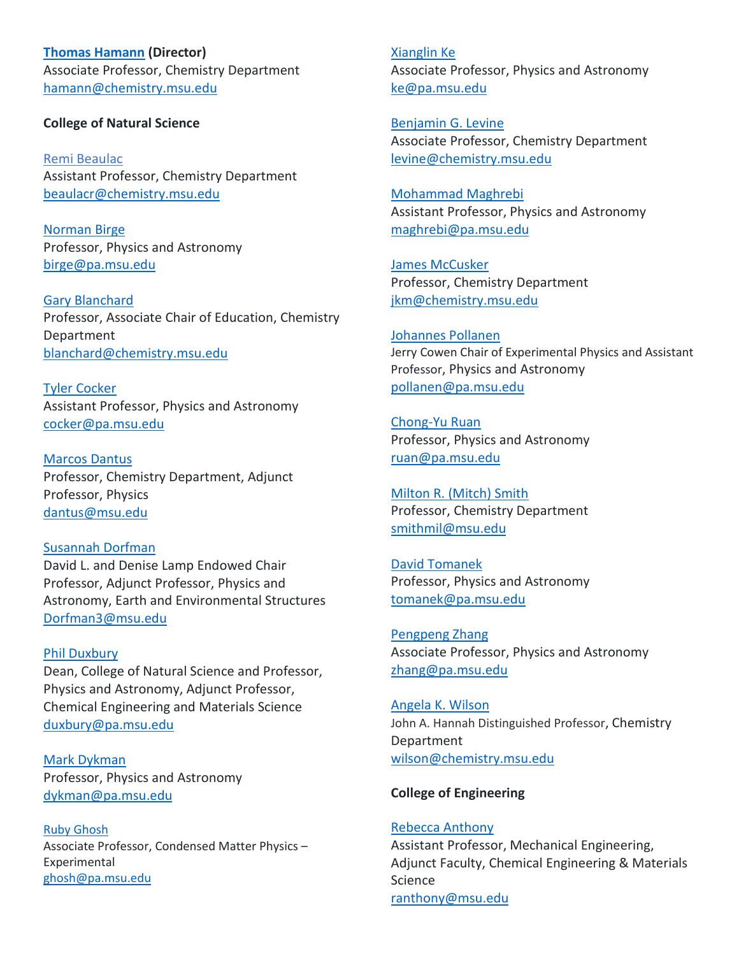**[Thomas Hamann](https://www.chemistry.msu.edu/faculty-research/faculty-members/thomas-w-hamann/) (Director)** Associate Professor, Chemistry Department [hamann@chemistry.msu.edu](mailto:hamann@chemistry.msu.edu)

## **College of Natural Science**

[Remi Beaulac](https://www.chemistry.msu.edu/faculty-research/faculty-members/remi-beaulac/) Assistant Professor, Chemistry Department beaulacr@chemistry.msu.edu

[Norman Birge](https://www.pa.msu.edu/profile/birge/) Professor, Physics and Astronomy [birge@pa.msu.edu](mailto:birge@pa.msu.edu)

[Gary Blanchard](https://www.chemistry.msu.edu/faculty-research/faculty-members/gary-j-blanchard/) Professor, Associate Chair of Education, Chemistry Department [blanchard@chemistry.msu.edu](mailto:blanchard@chemistry.msu.edu)

[Tyler Cocker](https://www.pa.msu.edu/profile/cocker/) Assistant Professor, Physics and Astronomy [cocker@pa.msu.edu](mailto:cocker@pa.msu.edu)

[Marcos Dantus](https://www.chemistry.msu.edu/faculty-research/faculty-members/marcos-dantus/) Professor, Chemistry Department, Adjunct Professor, Physics [dantus@msu.edu](mailto:dantus@msu.edu)

[Susannah Dorfman](https://www.pa.msu.edu/profile/dorfman3/) David L. and Denise Lamp Endowed Chair Professor, Adjunct Professor, Physics and Astronomy, Earth and Environmental Structures [Dorfman3@msu.edu](mailto:Dorfman3@msu.edu)

# [Phil Duxbury](https://www.pa.msu.edu/profile/duxbury/) Dean, College of Natural Science and Professor, Physics and Astronomy, Adjunct Professor, Chemical Engineering and Materials Science [duxbury@pa.msu.edu](mailto:duxbury@pa.msu.edu)

[Mark Dykman](https://www.pa.msu.edu/profile/dykman/) Professor, Physics and Astronomy [dykman@pa.msu.edu](mailto:dykman@pa.msu.edu)

[Ruby Ghosh](http://www.pa.msu.edu/people/ghosh/) Associate Professor, Condensed Matter Physics – Experimental [ghosh@pa.msu.edu](mailto:ghosh@pa.msu.edu)

[Xianglin Ke](https://www.pa.msu.edu/profile/ke/) Associate Professor, Physics and Astronomy [ke@pa.msu.edu](mailto:ke@pa.msu.edu)

[Benjamin G. Levine](https://www.chemistry.msu.edu/faculty-research/faculty-members/benjamin-g-levine/) Associate Professor, Chemistry Department [levine@chemistry.msu.edu](mailto:levine@chemistry.msu.edu)

[Mohammad Maghrebi](https://www.pa.msu.edu/profile/maghrebi/) Assistant Professor, Physics and Astronomy [maghrebi@pa.msu.edu](mailto:maghrebi@pa.msu.edu)

James [McCusker](https://www.chemistry.msu.edu/faculty-research/faculty-members/james-mccusker/) Professor, Chemistry Department [jkm@chemistry.msu.edu](mailto:jkm@chemistry.msu.edu)

[Johannes Pollanen](https://www.pa.msu.edu/profile/pollanen/) Jerry Cowen Chair of Experimental Physics and Assistant Professor, Physics and Astronomy [pollanen@pa.msu.edu](mailto:pollanen@pa.msu.edu)

[Chong-Yu Ruan](https://www.pa.msu.edu/profile/ruan/) Professor, Physics and Astronomy [ruan@pa.msu.edu](mailto:ruan@pa.msu.edu)

[Milton R. \(Mitch\) Smith](https://www.chemistry.msu.edu/faculty-research/faculty-members/milton-r-mitch-smith/) Professor, Chemistry Department [smithmil@msu.edu](mailto:smithmil@msu.edu)

[David Tomanek](https://www.pa.msu.edu/profile/tomanek/) Professor, Physics and Astronomy [tomanek@pa.msu.edu](mailto:tomanek@pa.msu.edu)

[Pengpeng Zhang](https://www.pa.msu.edu/profile/zhang/) Associate Professor, Physics and Astronomy [zhang@pa.msu.edu](mailto:zhang@pa.msu.edu)

Angela [K. Wilson](https://www.chemistry.msu.edu/faculty-research/faculty-members/angela-k-wilson/) John A. Hannah Distinguished Professor, Chemistry Department [wilson@chemistry.msu.edu](mailto:wilson@chemistry.msu.edu)

## **College of Engineering**

# [Rebecca Anthony](https://www.egr.msu.edu/people/profile/anthon92) Assistant Professor, Mechanical Engineering, Adjunct Faculty, Chemical Engineering & Materials **Science** [ranthony@msu.edu](mailto:ranthony@msu.edu)